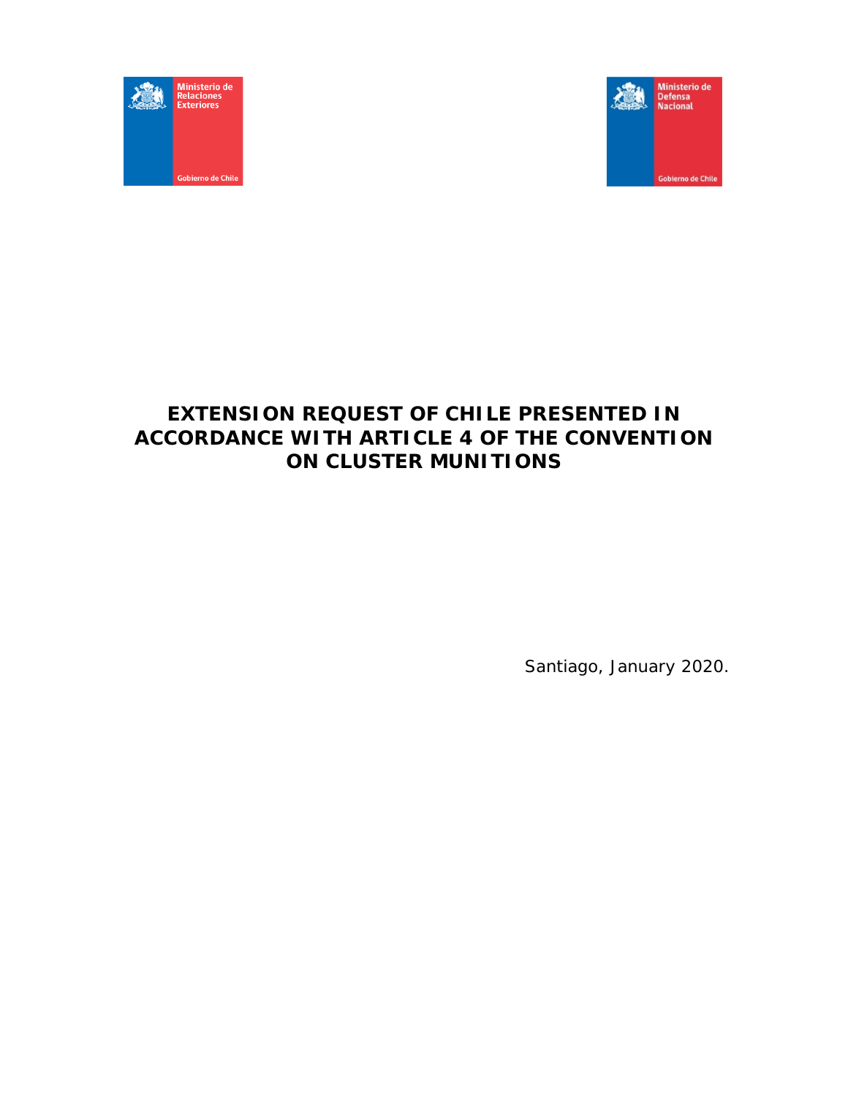



# **EXTENSION REQUEST OF CHILE PRESENTED IN ACCORDANCE WITH ARTICLE 4 OF THE CONVENTION ON CLUSTER MUNITIONS**

Santiago, January 2020.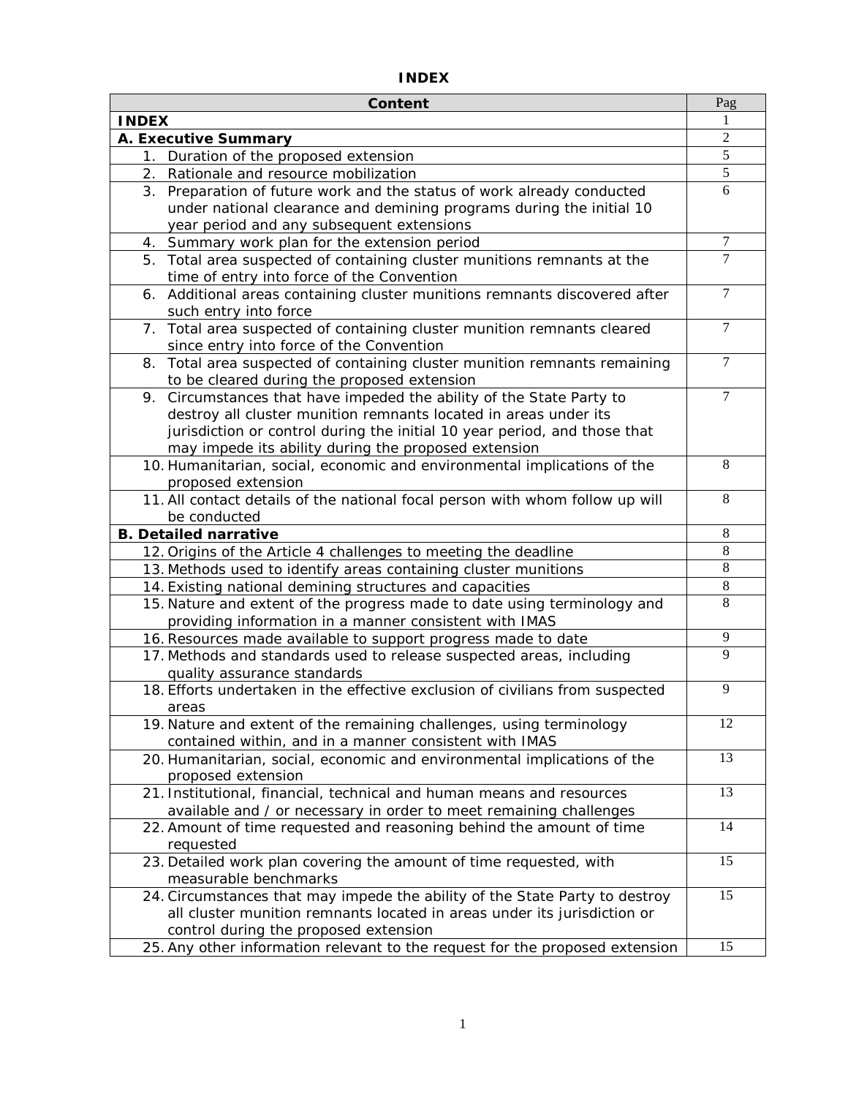| <b>Content</b>                                                                | Pag            |
|-------------------------------------------------------------------------------|----------------|
| <b>INDEX</b>                                                                  | 1              |
| A. Executive Summary                                                          | $\overline{2}$ |
| 1. Duration of the proposed extension                                         | 5              |
| 2. Rationale and resource mobilization                                        | $\overline{5}$ |
| 3. Preparation of future work and the status of work already conducted        | 6              |
| under national clearance and demining programs during the initial 10          |                |
| year period and any subsequent extensions                                     |                |
| 4. Summary work plan for the extension period                                 | 7              |
| 5. Total area suspected of containing cluster munitions remnants at the       | $\tau$         |
| time of entry into force of the Convention                                    |                |
| 6. Additional areas containing cluster munitions remnants discovered after    | $\overline{7}$ |
| such entry into force                                                         |                |
| 7. Total area suspected of containing cluster munition remnants cleared       | 7              |
| since entry into force of the Convention                                      |                |
| 8. Total area suspected of containing cluster munition remnants remaining     | $\tau$         |
| to be cleared during the proposed extension                                   |                |
| 9. Circumstances that have impeded the ability of the State Party to          | 7              |
| destroy all cluster munition remnants located in areas under its              |                |
| jurisdiction or control during the initial 10 year period, and those that     |                |
| may impede its ability during the proposed extension                          |                |
| 10. Humanitarian, social, economic and environmental implications of the      | 8              |
| proposed extension                                                            |                |
| 11. All contact details of the national focal person with whom follow up will | 8              |
| be conducted                                                                  |                |
| <b>B. Detailed narrative</b>                                                  | 8              |
| 12. Origins of the Article 4 challenges to meeting the deadline               | 8              |
| 13. Methods used to identify areas containing cluster munitions               | $\overline{8}$ |
| 14. Existing national demining structures and capacities                      | 8              |
| 15. Nature and extent of the progress made to date using terminology and      | 8              |
| providing information in a manner consistent with IMAS                        |                |
| 16. Resources made available to support progress made to date                 | 9              |
| 17. Methods and standards used to release suspected areas, including          | 9              |
| quality assurance standards                                                   |                |
| 18. Efforts undertaken in the effective exclusion of civilians from suspected | 9              |
| areas                                                                         |                |
| 19. Nature and extent of the remaining challenges, using terminology          | 12             |
| contained within, and in a manner consistent with IMAS                        |                |
| 20. Humanitarian, social, economic and environmental implications of the      | 13             |
| proposed extension                                                            |                |
| 21. Institutional, financial, technical and human means and resources         | 13             |
| available and / or necessary in order to meet remaining challenges            |                |
| 22. Amount of time requested and reasoning behind the amount of time          | 14             |
| requested                                                                     |                |
| 23. Detailed work plan covering the amount of time requested, with            | 15             |
| measurable benchmarks                                                         |                |
| 24. Circumstances that may impede the ability of the State Party to destroy   | 15             |
| all cluster munition remnants located in areas under its jurisdiction or      |                |
| control during the proposed extension                                         |                |
| 25. Any other information relevant to the request for the proposed extension  | 15             |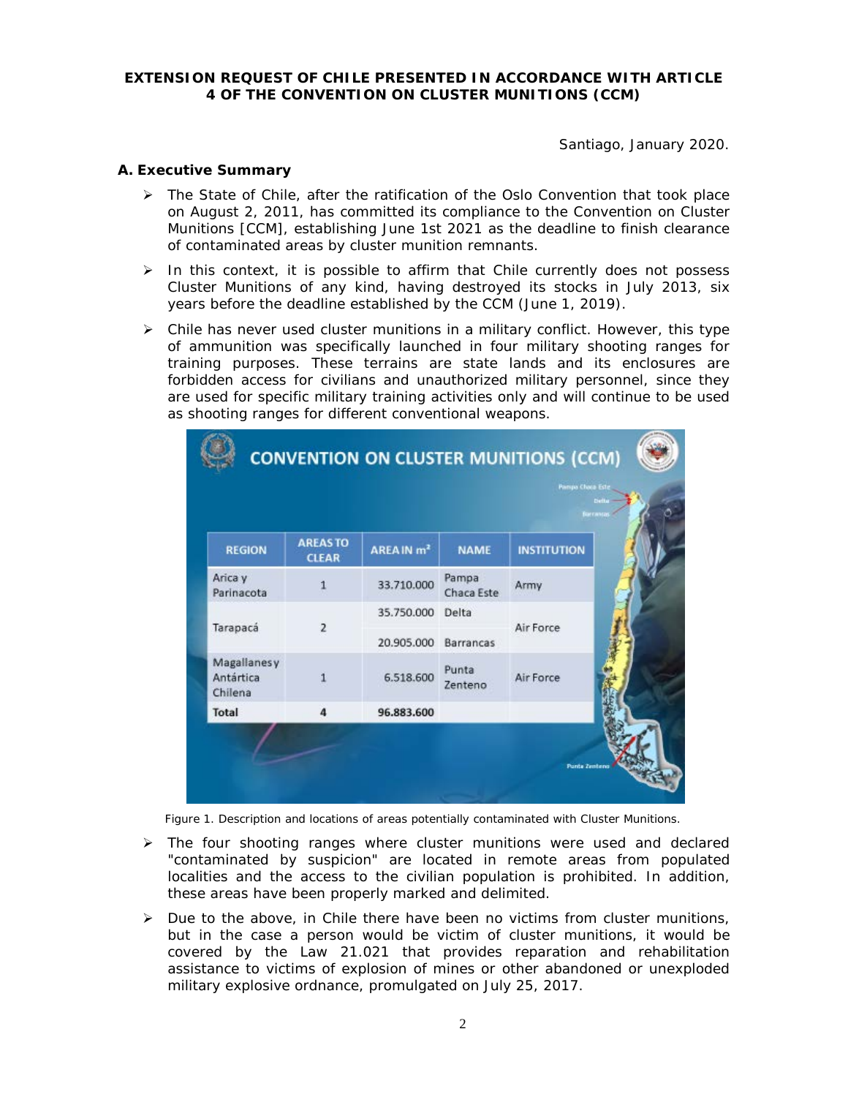## **EXTENSION REQUEST OF CHILE PRESENTED IN ACCORDANCE WITH ARTICLE 4 OF THE CONVENTION ON CLUSTER MUNITIONS (CCM)**

Santiago, January 2020.

# **A. Executive Summary**

- $\triangleright$  The State of Chile, after the ratification of the Oslo Convention that took place on August 2, 2011, has committed its compliance to the Convention on Cluster Munitions [CCM], establishing June 1st 2021 as the deadline to finish clearance of contaminated areas by cluster munition remnants.
- $\triangleright$  In this context, it is possible to affirm that Chile currently does not possess Cluster Munitions of any kind, having destroyed its stocks in July 2013, six years before the deadline established by the CCM (June 1, 2019).
- $\triangleright$  Chile has never used cluster munitions in a military conflict. However, this type of ammunition was specifically launched in four military shooting ranges for training purposes. These terrains are state lands and its enclosures are forbidden access for civilians and unauthorized military personnel, since they are used for specific military training activities only and will continue to be used as shooting ranges for different conventional weapons.

|                                     | <b>AREASTO</b> |                        |                     | ceranta            |  |
|-------------------------------------|----------------|------------------------|---------------------|--------------------|--|
| <b>REGION</b>                       | <b>CLEAR</b>   | AREA IN m <sup>2</sup> | <b>NAME</b>         | <b>INSTITUTION</b> |  |
| Arica y<br>Parinacota               | $\mathbf{1}$   | 33.710.000             | Pampa<br>Chaca Este | Army               |  |
|                                     |                | 35.750.000             | Delta               |                    |  |
| Tarapacá                            | $\overline{2}$ | 20.905.000             | Barrancas           | Air Force          |  |
| Magallanesy<br>Antártica<br>Chilena | 1              | 6.518.600              | Punta<br>Zenteno    | Air Force          |  |
| Total                               | 4              | 96.883.600             |                     |                    |  |

Figure 1. Description and locations of areas potentially contaminated with Cluster Munitions.

- $\triangleright$  The four shooting ranges where cluster munitions were used and declared "contaminated by suspicion" are located in remote areas from populated localities and the access to the civilian population is prohibited. In addition, these areas have been properly marked and delimited.
- $\triangleright$  Due to the above, in Chile there have been no victims from cluster munitions, but in the case a person would be victim of cluster munitions, it would be covered by the Law 21.021 that provides reparation and rehabilitation assistance to victims of explosion of mines or other abandoned or unexploded military explosive ordnance, promulgated on July 25, 2017.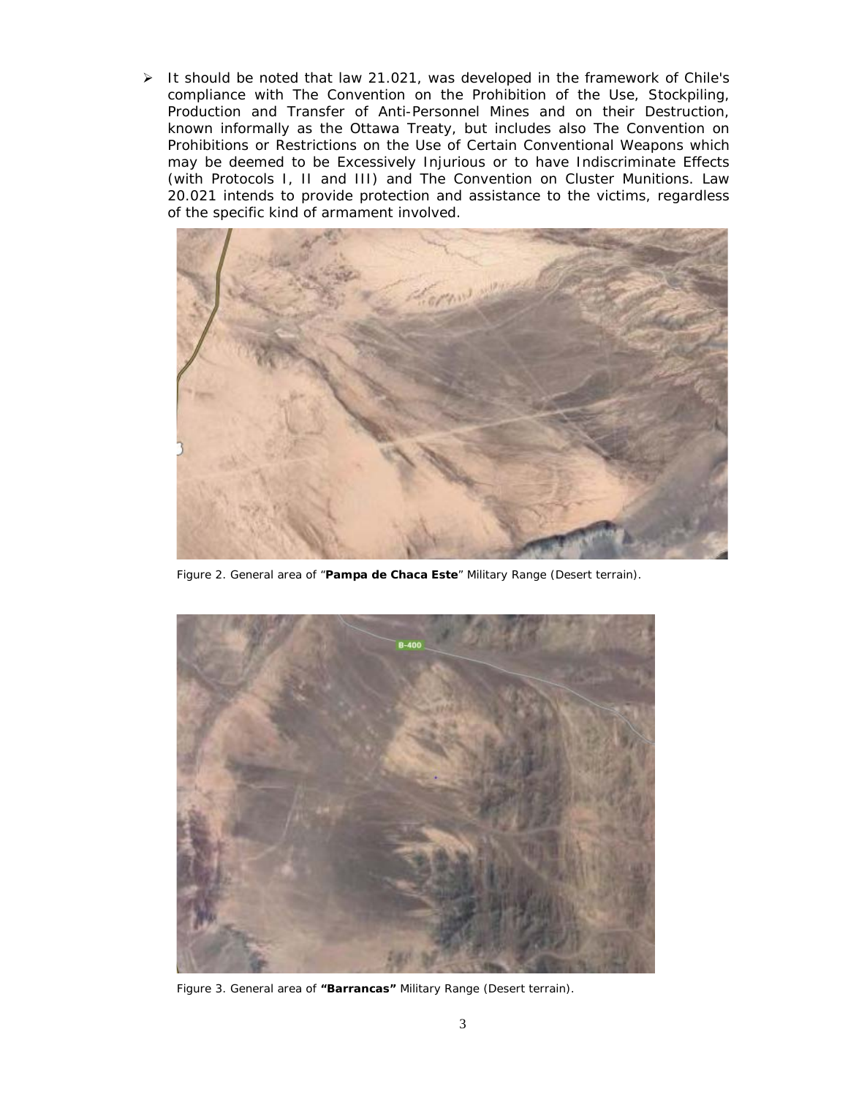> It should be noted that law 21.021, was developed in the framework of Chile's compliance with *The Convention on the Prohibition of the Use, Stockpiling, Production and Transfer of Anti-Personnel Mines and on their Destruction, known informally as the Ottawa Treaty,* but includes also *The Convention on Prohibitions or Restrictions on the Use of Certain Conventional Weapons which may be deemed to be Excessively Injurious or to have Indiscriminate Effects (with Protocols I, II and III)* and *The Convention on Cluster Munitions*. Law 20.021 intends to provide protection and assistance to the victims, regardless of the specific kind of armament involved.



Figure 2. General area of "**Pampa de Chaca Este**" Military Range (Desert terrain).



Figure 3. General area of **"Barrancas"** Military Range (Desert terrain).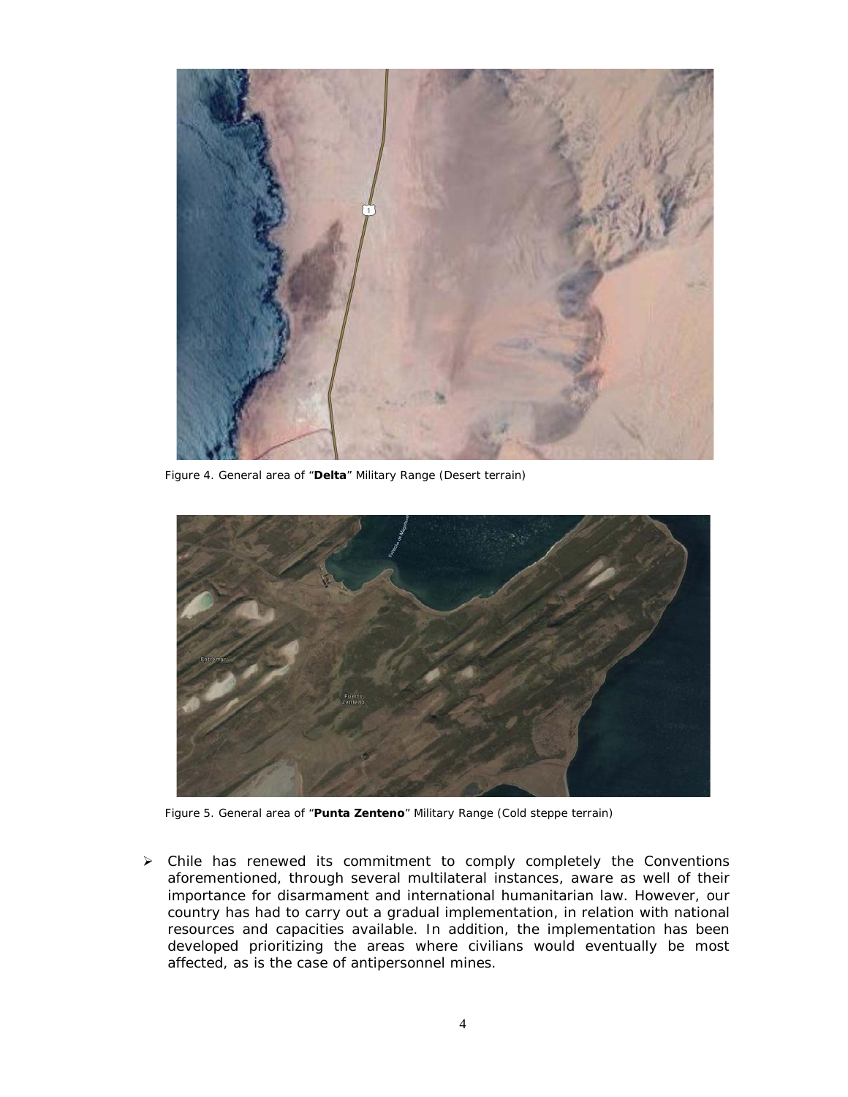

Figure 4. General area of "**Delta**" Military Range (Desert terrain)



Figure 5. General area of "**Punta Zenteno**" Military Range (Cold steppe terrain)

 $\triangleright$  Chile has renewed its commitment to comply completely the Conventions aforementioned, through several multilateral instances, aware as well of their importance for disarmament and international humanitarian law. However, our country has had to carry out a gradual implementation, in relation with national resources and capacities available. In addition, the implementation has been developed prioritizing the areas where civilians would eventually be most affected, as is the case of antipersonnel mines.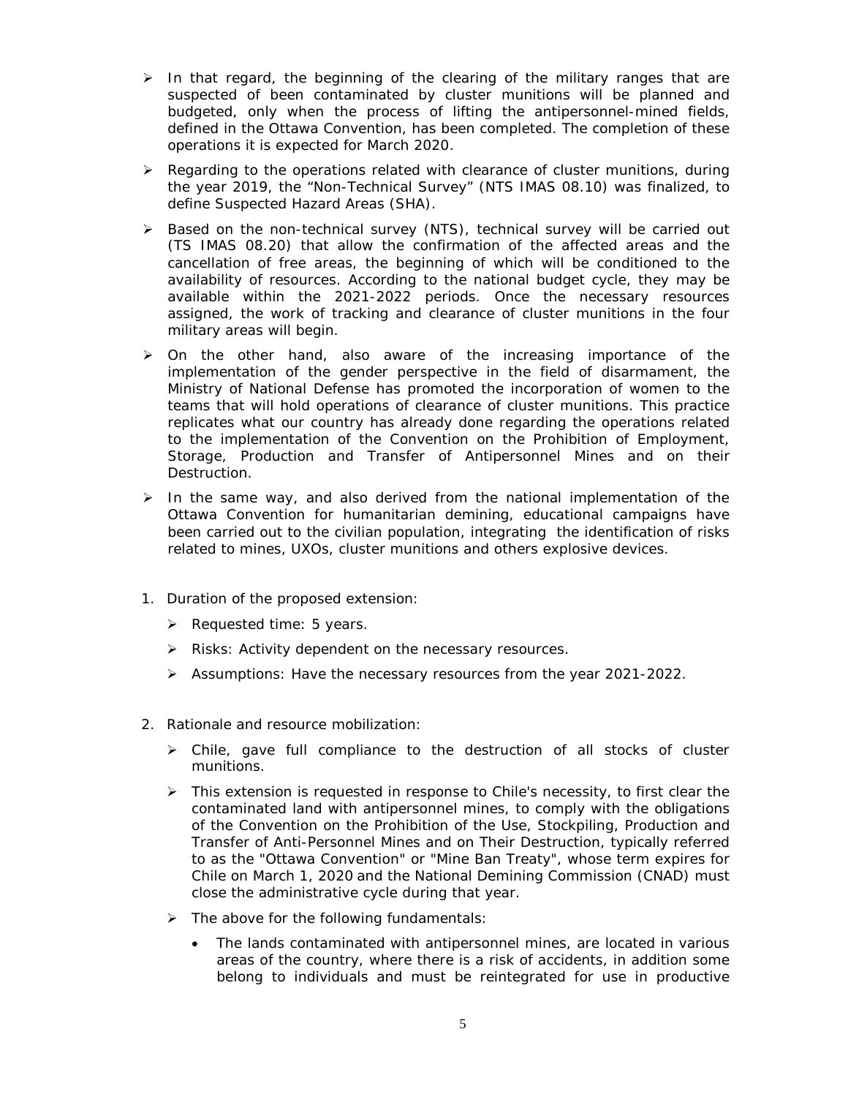- $\triangleright$  In that regard, the beginning of the clearing of the military ranges that are suspected of been contaminated by cluster munitions will be planned and budgeted, only when the process of lifting the antipersonnel-mined fields, defined in the Ottawa Convention, has been completed. The completion of these operations it is expected for March 2020.
- $\triangleright$  Regarding to the operations related with clearance of cluster munitions, during the year 2019, the "Non-Technical Survey" (NTS IMAS 08.10) was finalized, to define Suspected Hazard Areas (SHA).
- > Based on the non-technical survey (NTS), technical survey will be carried out (TS IMAS 08.20) that allow the confirmation of the affected areas and the cancellation of free areas, the beginning of which will be conditioned to the availability of resources. According to the national budget cycle, they may be available within the 2021-2022 periods. Once the necessary resources assigned, the work of tracking and clearance of cluster munitions in the four military areas will begin.
- $\triangleright$  On the other hand, also aware of the increasing importance of the implementation of the gender perspective in the field of disarmament, the Ministry of National Defense has promoted the incorporation of women to the teams that will hold operations of clearance of cluster munitions. This practice replicates what our country has already done regarding the operations related to the implementation of the Convention on the Prohibition of Employment, Storage, Production and Transfer of Antipersonnel Mines and on their Destruction.
- $\triangleright$  In the same way, and also derived from the national implementation of the Ottawa Convention for humanitarian demining, educational campaigns have been carried out to the civilian population, integrating the identification of risks related to mines, UXOs, cluster munitions and others explosive devices.
- 1. Duration of the proposed extension:
	- $\triangleright$  Requested time: 5 years.
	- $\triangleright$  Risks: Activity dependent on the necessary resources.
	- $\triangleright$  Assumptions: Have the necessary resources from the year 2021-2022.
- 2. Rationale and resource mobilization:
	- $\triangleright$  Chile, gave full compliance to the destruction of all stocks of cluster munitions.
	- $\triangleright$  This extension is requested in response to Chile's necessity, to first clear the contaminated land with antipersonnel mines, to comply with the obligations of the Convention on the Prohibition of the Use, Stockpiling, Production and Transfer of Anti-Personnel Mines and on Their Destruction, typically referred to as the "Ottawa Convention" or "Mine Ban Treaty", whose term expires for Chile on March 1, 2020 and the National Demining Commission (CNAD) must close the administrative cycle during that year.
	- $\triangleright$  The above for the following fundamentals:
		- The lands contaminated with antipersonnel mines, are located in various areas of the country, where there is a risk of accidents, in addition some belong to individuals and must be reintegrated for use in productive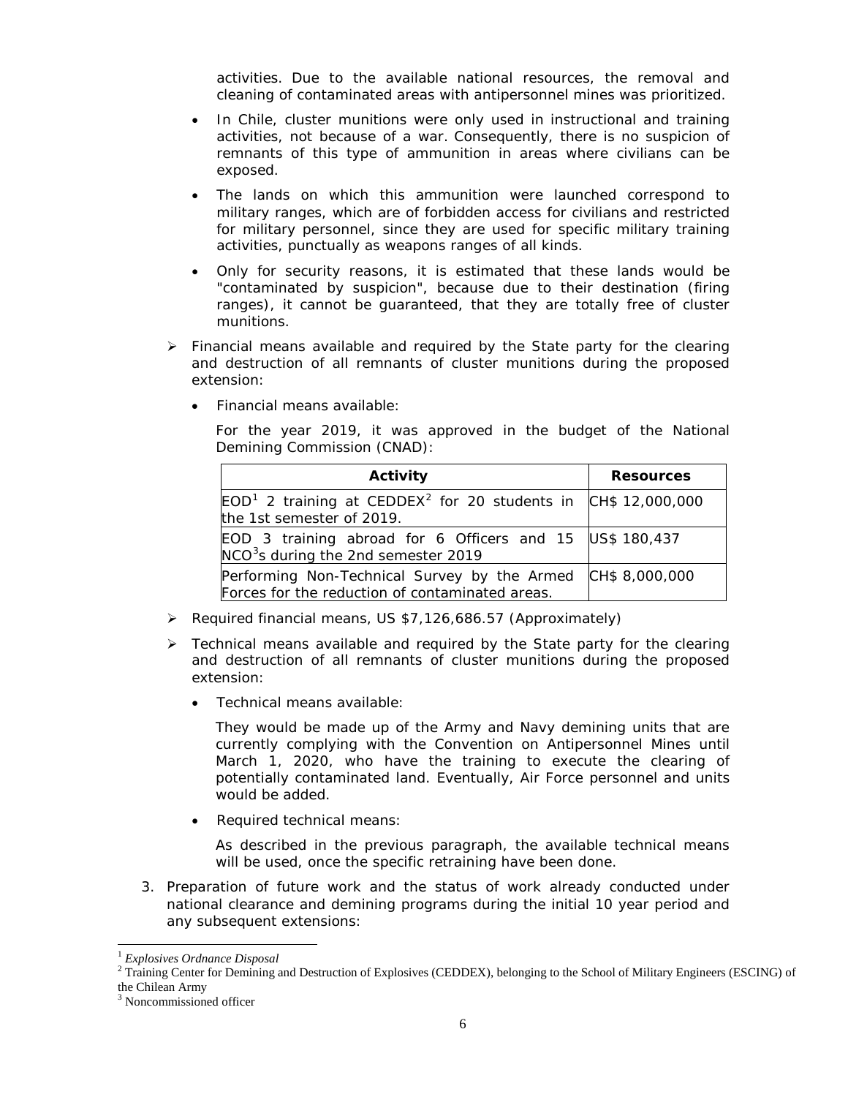activities. Due to the available national resources, the removal and cleaning of contaminated areas with antipersonnel mines was prioritized.

- In Chile, cluster munitions were only used in instructional and training activities, not because of a war. Consequently, there is no suspicion of remnants of this type of ammunition in areas where civilians can be exposed.
- The lands on which this ammunition were launched correspond to military ranges, which are of forbidden access for civilians and restricted for military personnel, since they are used for specific military training activities, punctually as weapons ranges of all kinds.
- Only for security reasons, it is estimated that these lands would be "contaminated by suspicion", because due to their destination (firing ranges), it cannot be guaranteed, that they are totally free of cluster munitions.
- $\triangleright$  Financial means available and required by the State party for the clearing and destruction of all remnants of cluster munitions during the proposed extension:
	- Financial means available:

For the year 2019, it was approved in the budget of the National Demining Commission (CNAD):

| Activity                                                                                                    | <b>Resources</b> |
|-------------------------------------------------------------------------------------------------------------|------------------|
| $EOD1$ 2 training at CEDDEX <sup>2</sup> for 20 students in CH\$ 12,000,000<br>the 1st semester of 2019.    |                  |
| EOD 3 training abroad for 6 Officers and 15 US\$ 180,437<br>NCO <sup>3</sup> s during the 2nd semester 2019 |                  |
| Performing Non-Technical Survey by the Armed<br>Forces for the reduction of contaminated areas.             | CH\$ 8,000,000   |

- Required financial means, US \$7,126,686.57 (Approximately)
- $\triangleright$  Technical means available and required by the State party for the clearing and destruction of all remnants of cluster munitions during the proposed extension:
	- Technical means available:

They would be made up of the Army and Navy demining units that are currently complying with the Convention on Antipersonnel Mines until March 1, 2020, who have the training to execute the clearing of potentially contaminated land. Eventually, Air Force personnel and units would be added.

• Required technical means:

As described in the previous paragraph, the available technical means will be used, once the specific retraining have been done.

3. Preparation of future work and the status of work already conducted under national clearance and demining programs during the initial 10 year period and any subsequent extensions:

 <sup>1</sup> *Explosives Ordnance Disposal*

<span id="page-6-1"></span><span id="page-6-0"></span> $2$  Training Center for Demining and Destruction of Explosives (CEDDEX), belonging to the School of Military Engineers (ESCING) of the Chilean Army

<span id="page-6-2"></span><sup>3</sup> Noncommissioned officer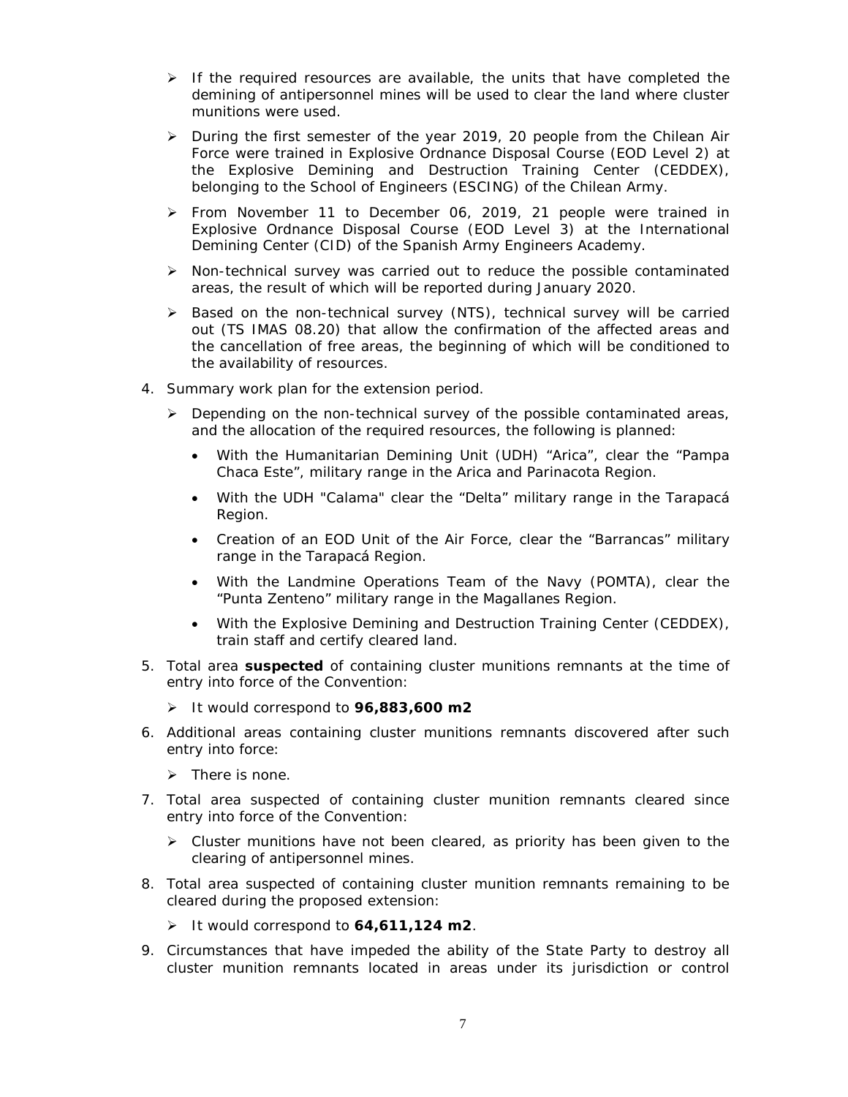- $\triangleright$  If the required resources are available, the units that have completed the demining of antipersonnel mines will be used to clear the land where cluster munitions were used.
- > During the first semester of the year 2019, 20 people from the Chilean Air Force were trained in Explosive Ordnance Disposal Course (EOD Level 2) at the Explosive Demining and Destruction Training Center (CEDDEX), belonging to the School of Engineers (ESCING) of the Chilean Army.
- From November 11 to December 06, 2019, 21 people were trained in Explosive Ordnance Disposal Course (EOD Level 3) at the International Demining Center (CID) of the Spanish Army Engineers Academy.
- $\triangleright$  Non-technical survey was carried out to reduce the possible contaminated areas, the result of which will be reported during January 2020.
- > Based on the non-technical survey (NTS), technical survey will be carried out (TS IMAS 08.20) that allow the confirmation of the affected areas and the cancellation of free areas, the beginning of which will be conditioned to the availability of resources.
- 4. Summary work plan for the extension period.
	- $\triangleright$  Depending on the non-technical survey of the possible contaminated areas, and the allocation of the required resources, the following is planned:
		- With the Humanitarian Demining Unit (UDH) "Arica", clear the "Pampa Chaca Este", military range in the Arica and Parinacota Region.
		- With the UDH "Calama" clear the "Delta" military range in the Tarapacá Region.
		- Creation of an EOD Unit of the Air Force, clear the "Barrancas" military range in the Tarapacá Region.
		- With the Landmine Operations Team of the Navy (POMTA), clear the "Punta Zenteno" military range in the Magallanes Region.
		- With the Explosive Demining and Destruction Training Center (CEDDEX), train staff and certify cleared land.
- 5. Total area **suspected** of containing cluster munitions remnants at the time of entry into force of the Convention:
	- It would correspond to **96,883,600 m2**
- 6. Additional areas containing cluster munitions remnants discovered after such entry into force:
	- $\triangleright$  There is none.
- 7. Total area suspected of containing cluster munition remnants cleared since entry into force of the Convention:
	- $\triangleright$  Cluster munitions have not been cleared, as priority has been given to the clearing of antipersonnel mines.
- 8. Total area suspected of containing cluster munition remnants remaining to be cleared during the proposed extension:
	- It would correspond to **64,611,124 m2**.
- 9. Circumstances that have impeded the ability of the State Party to destroy all cluster munition remnants located in areas under its jurisdiction or control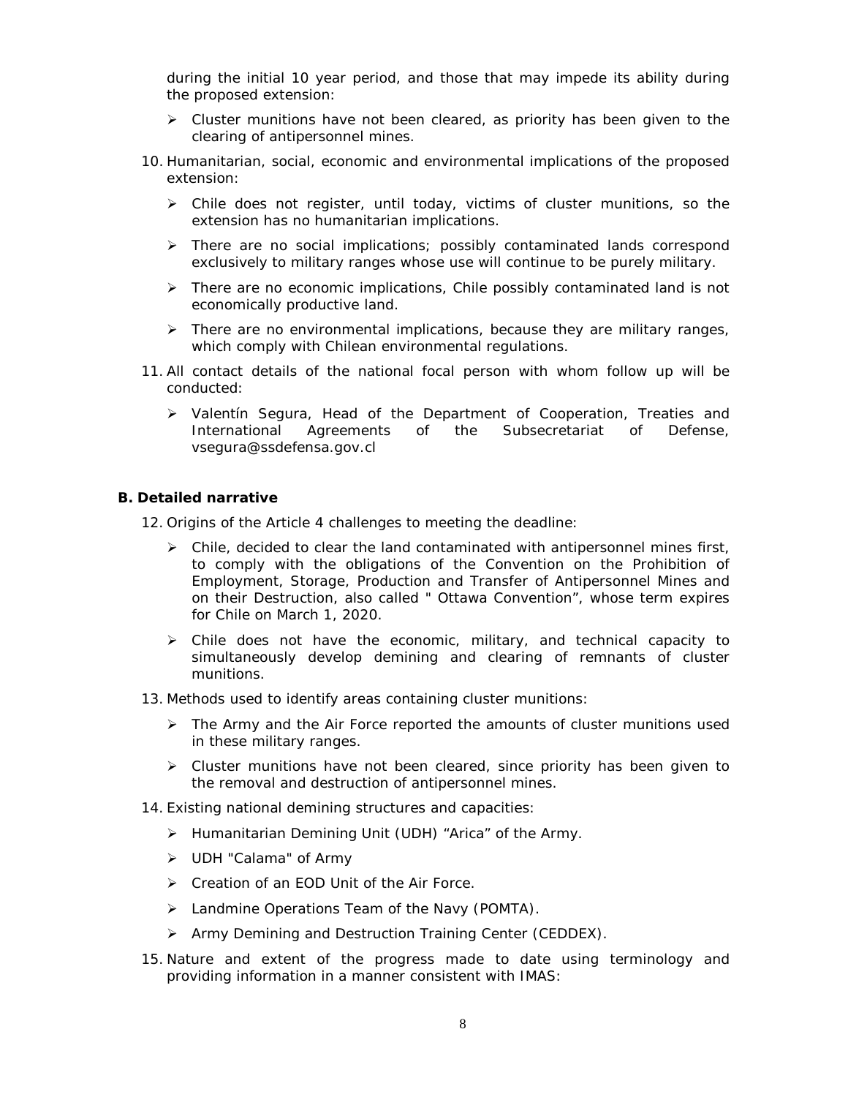during the initial 10 year period, and those that may impede its ability during the proposed extension:

- $\triangleright$  Cluster munitions have not been cleared, as priority has been given to the clearing of antipersonnel mines.
- 10. Humanitarian, social, economic and environmental implications of the proposed extension:
	- $\triangleright$  Chile does not register, until today, victims of cluster munitions, so the extension has no humanitarian implications.
	- $\triangleright$  There are no social implications; possibly contaminated lands correspond exclusively to military ranges whose use will continue to be purely military.
	- $\triangleright$  There are no economic implications, Chile possibly contaminated land is not economically productive land.
	- $\triangleright$  There are no environmental implications, because they are military ranges, which comply with Chilean environmental regulations.
- 11. All contact details of the national focal person with whom follow up will be conducted:
	- $\triangleright$  Valentín Segura, Head of the Department of Cooperation, Treaties and International Agreements of the Subsecretariat of Defense, [vsegura@ssdefensa.gov.cl](mailto:vsegura@ssdefensa.gov.cl)

#### **B. Detailed narrative**

12. Origins of the Article 4 challenges to meeting the deadline:

- $\triangleright$  Chile, decided to clear the land contaminated with antipersonnel mines first, to comply with the obligations of the Convention on the Prohibition of Employment, Storage, Production and Transfer of Antipersonnel Mines and on their Destruction, also called " Ottawa Convention", whose term expires for Chile on March 1, 2020.
- $\triangleright$  Chile does not have the economic, military, and technical capacity to simultaneously develop demining and clearing of remnants of cluster munitions.
- 13. Methods used to identify areas containing cluster munitions:
	- $\triangleright$  The Army and the Air Force reported the amounts of cluster munitions used in these military ranges.
	- $\triangleright$  Cluster munitions have not been cleared, since priority has been given to the removal and destruction of antipersonnel mines.
- 14. Existing national demining structures and capacities:
	- Humanitarian Demining Unit (UDH) "Arica" of the Army.
	- > UDH "Calama" of Army
	- ▶ Creation of an EOD Unit of the Air Force.
	- > Landmine Operations Team of the Navy (POMTA).
	- Army Demining and Destruction Training Center (CEDDEX).
- 15. Nature and extent of the progress made to date using terminology and providing information in a manner consistent with IMAS: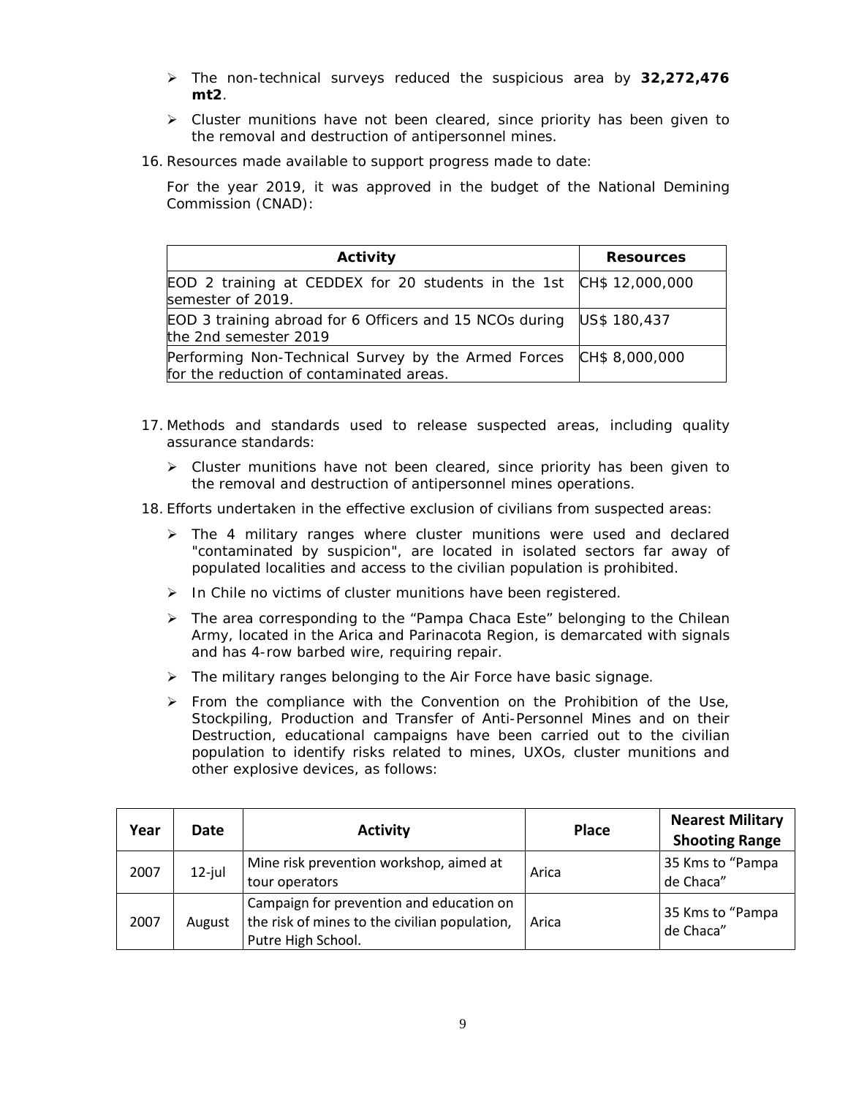- The non-technical surveys reduced the suspicious area by **32,272,476 mt2**.
- $\triangleright$  Cluster munitions have not been cleared, since priority has been given to the removal and destruction of antipersonnel mines.
- 16. Resources made available to support progress made to date:

For the year 2019, it was approved in the budget of the National Demining Commission (CNAD):

| Activity                                                                                                       | <b>Resources</b> |
|----------------------------------------------------------------------------------------------------------------|------------------|
| EOD 2 training at CEDDEX for 20 students in the 1st CH\$ 12,000,000<br>semester of 2019.                       |                  |
| EOD 3 training abroad for 6 Officers and 15 NCOs during US\$ 180,437<br>the 2nd semester 2019                  |                  |
| Performing Non-Technical Survey by the Armed Forces CH\$ 8,000,000<br>for the reduction of contaminated areas. |                  |

- 17. Methods and standards used to release suspected areas, including quality assurance standards:
	- $\triangleright$  Cluster munitions have not been cleared, since priority has been given to the removal and destruction of antipersonnel mines operations.

18. Efforts undertaken in the effective exclusion of civilians from suspected areas:

- > The 4 military ranges where cluster munitions were used and declared "contaminated by suspicion", are located in isolated sectors far away of populated localities and access to the civilian population is prohibited.
- $\triangleright$  In Chile no victims of cluster munitions have been registered.
- $\triangleright$  The area corresponding to the "Pampa Chaca Este" belonging to the Chilean Army, located in the Arica and Parinacota Region, is demarcated with signals and has 4-row barbed wire, requiring repair.
- $\triangleright$  The military ranges belonging to the Air Force have basic signage.
- $\triangleright$  From the compliance with the Convention on the Prohibition of the Use, Stockpiling, Production and Transfer of Anti-Personnel Mines and on their Destruction, educational campaigns have been carried out to the civilian population to identify risks related to mines, UXOs, cluster munitions and other explosive devices, as follows:

| Year | Date      | <b>Activity</b>                                                                                                 | <b>Place</b> | <b>Nearest Military</b><br><b>Shooting Range</b> |
|------|-----------|-----------------------------------------------------------------------------------------------------------------|--------------|--------------------------------------------------|
| 2007 | $12$ -jul | Mine risk prevention workshop, aimed at<br>tour operators                                                       | Arica        | 35 Kms to "Pampa<br>de Chaca"                    |
| 2007 | August    | Campaign for prevention and education on<br>the risk of mines to the civilian population,<br>Putre High School. | Arica        | 35 Kms to "Pampa<br>de Chaca"                    |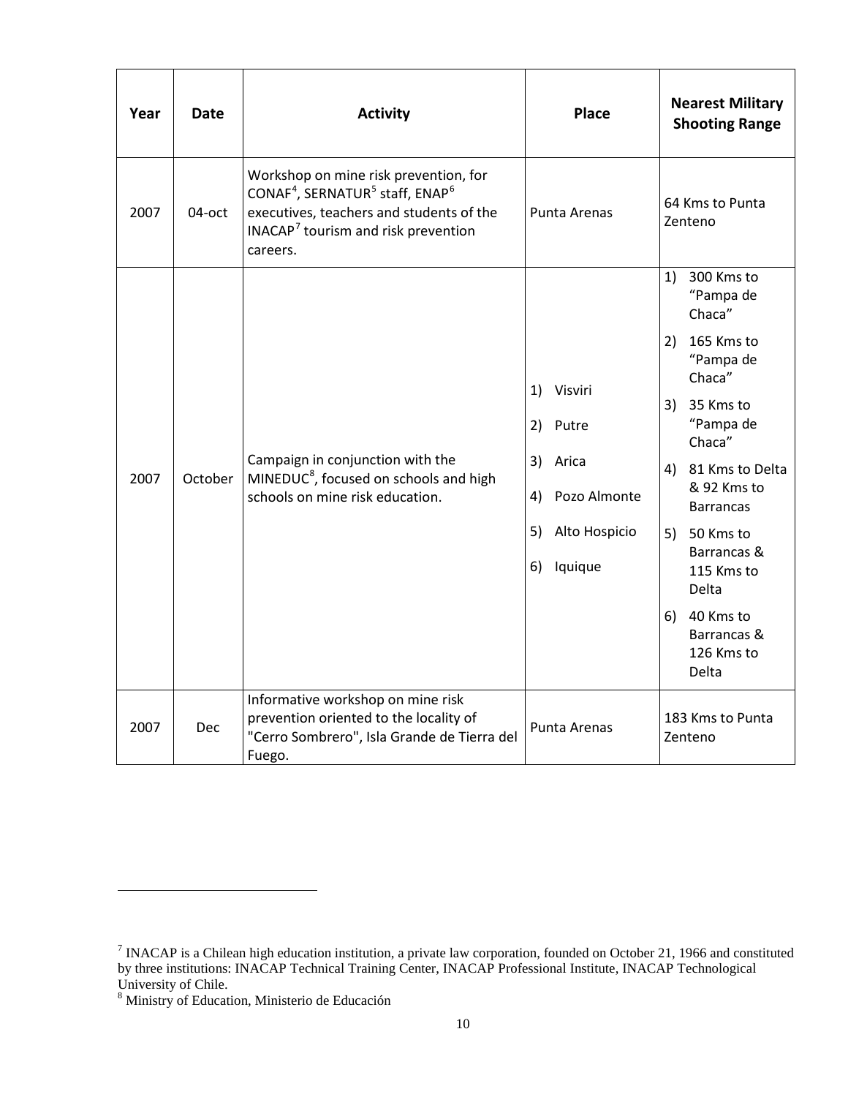| Year | Date       | <b>Activity</b>                                                                                                                                                                                                         | <b>Place</b>                                                                                              | <b>Nearest Military</b><br><b>Shooting Range</b>                                                                                                                                                                                                                                            |
|------|------------|-------------------------------------------------------------------------------------------------------------------------------------------------------------------------------------------------------------------------|-----------------------------------------------------------------------------------------------------------|---------------------------------------------------------------------------------------------------------------------------------------------------------------------------------------------------------------------------------------------------------------------------------------------|
| 2007 | 04-oct     | Workshop on mine risk prevention, for<br>CONAF <sup>4</sup> , SERNATUR <sup>5</sup> staff, ENAP <sup>6</sup><br>executives, teachers and students of the<br>INACAP <sup>7</sup> tourism and risk prevention<br>careers. | Punta Arenas                                                                                              | 64 Kms to Punta<br>Zenteno                                                                                                                                                                                                                                                                  |
| 2007 | October    | Campaign in conjunction with the<br>MINEDUC <sup>8</sup> , focused on schools and high<br>schools on mine risk education.                                                                                               | 1)<br>Visviri<br>2)<br>Putre<br>3)<br>Arica<br>Pozo Almonte<br>4)<br>Alto Hospicio<br>5)<br>Iquique<br>6) | 300 Kms to<br>1)<br>"Pampa de<br>Chaca"<br>2) 165 Kms to<br>"Pampa de<br>Chaca"<br>3) 35 Kms to<br>"Pampa de<br>Chaca"<br>4) 81 Kms to Delta<br>& 92 Kms to<br><b>Barrancas</b><br>5) 50 Kms to<br>Barrancas &<br>115 Kms to<br>Delta<br>6) 40 Kms to<br>Barrancas &<br>126 Kms to<br>Delta |
| 2007 | <b>Dec</b> | Informative workshop on mine risk<br>prevention oriented to the locality of<br>"Cerro Sombrero", Isla Grande de Tierra del<br>Fuego.                                                                                    | Punta Arenas                                                                                              | 183 Kms to Punta<br>Zenteno                                                                                                                                                                                                                                                                 |

<span id="page-10-0"></span>1

<span id="page-10-3"></span><span id="page-10-2"></span><span id="page-10-1"></span><sup>&</sup>lt;sup>7</sup> INACAP is a Chilean high education institution, a private law corporation, founded on October 21, 1966 and constituted by three institutions: INACAP Technical Training Center, INACAP Professional Institute, INACAP Technological

<span id="page-10-4"></span>University of Chile.<br><sup>8</sup> Ministry of Education, Ministerio de Educación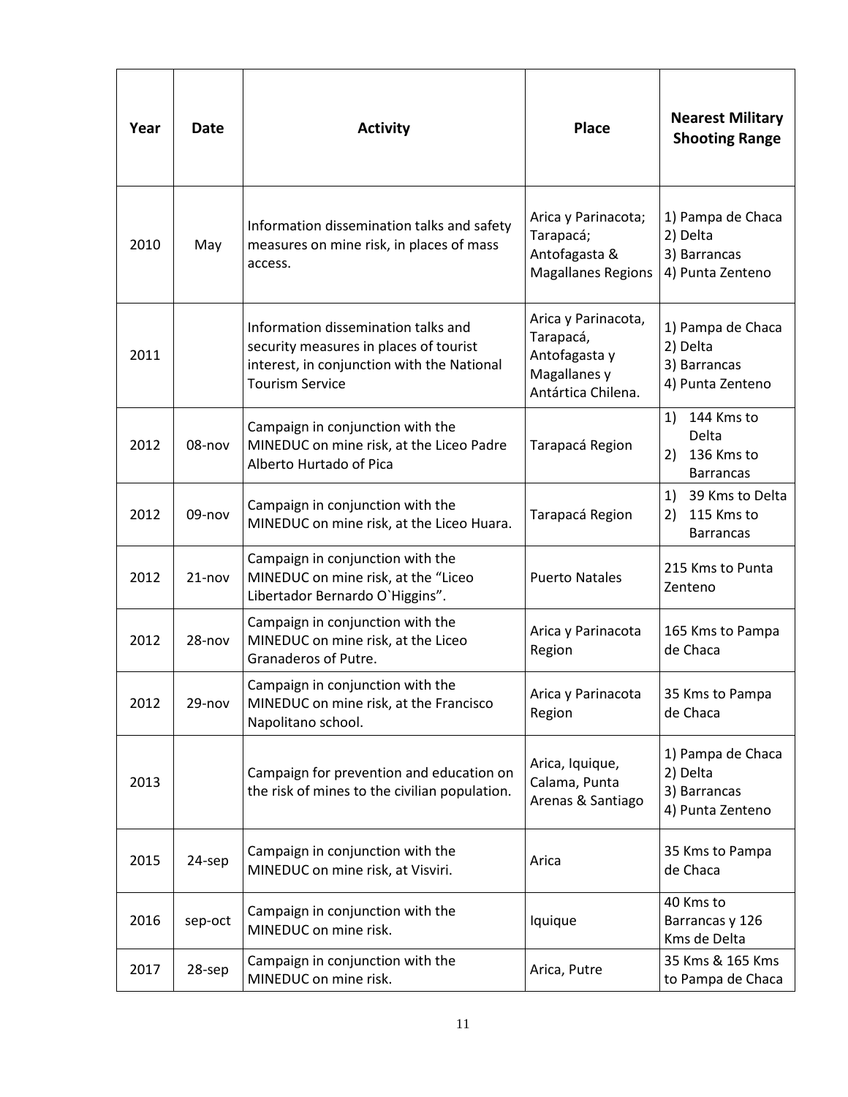| Year | <b>Date</b> | <b>Activity</b>                                                                                                                                                                                                                                  | <b>Place</b>                                          | <b>Nearest Military</b><br><b>Shooting Range</b>                  |
|------|-------------|--------------------------------------------------------------------------------------------------------------------------------------------------------------------------------------------------------------------------------------------------|-------------------------------------------------------|-------------------------------------------------------------------|
| 2010 | May         | Arica y Parinacota;<br>Information dissemination talks and safety<br>Tarapacá;<br>measures on mine risk, in places of mass<br>Antofagasta &<br>access.<br><b>Magallanes Regions</b>                                                              |                                                       | 1) Pampa de Chaca<br>2) Delta<br>3) Barrancas<br>4) Punta Zenteno |
| 2011 |             | Arica y Parinacota,<br>Information dissemination talks and<br>Tarapacá,<br>security measures in places of tourist<br>Antofagasta y<br>interest, in conjunction with the National<br>Magallanes y<br><b>Tourism Service</b><br>Antártica Chilena. |                                                       | 1) Pampa de Chaca<br>2) Delta<br>3) Barrancas<br>4) Punta Zenteno |
| 2012 | 08-nov      | Campaign in conjunction with the<br>MINEDUC on mine risk, at the Liceo Padre<br>Tarapacá Region<br>Alberto Hurtado of Pica                                                                                                                       |                                                       | 1) 144 Kms to<br>Delta<br>136 Kms to<br>2)<br><b>Barrancas</b>    |
| 2012 | 09-nov      | Campaign in conjunction with the<br>MINEDUC on mine risk, at the Liceo Huara.                                                                                                                                                                    | Tarapacá Region                                       | 1)<br>39 Kms to Delta<br>115 Kms to<br>2)<br><b>Barrancas</b>     |
| 2012 | $21 - nov$  | Campaign in conjunction with the<br>MINEDUC on mine risk, at the "Liceo<br>Libertador Bernardo O'Higgins".                                                                                                                                       | <b>Puerto Natales</b>                                 | 215 Kms to Punta<br>Zenteno                                       |
| 2012 | 28-nov      | Campaign in conjunction with the<br>MINEDUC on mine risk, at the Liceo<br>Granaderos of Putre.                                                                                                                                                   | Arica y Parinacota<br>Region                          | 165 Kms to Pampa<br>de Chaca                                      |
| 2012 | 29-nov      | Campaign in conjunction with the<br>Arica y Parinacota<br>MINEDUC on mine risk, at the Francisco<br>Region<br>Napolitano school.                                                                                                                 |                                                       | 35 Kms to Pampa<br>de Chaca                                       |
| 2013 |             | Campaign for prevention and education on<br>the risk of mines to the civilian population.                                                                                                                                                        | Arica, Iquique,<br>Calama, Punta<br>Arenas & Santiago | 1) Pampa de Chaca<br>2) Delta<br>3) Barrancas<br>4) Punta Zenteno |
| 2015 | 24-sep      | Campaign in conjunction with the<br>Arica<br>MINEDUC on mine risk, at Visviri.                                                                                                                                                                   |                                                       | 35 Kms to Pampa<br>de Chaca                                       |
| 2016 | sep-oct     | Campaign in conjunction with the<br>MINEDUC on mine risk.                                                                                                                                                                                        | Iquique                                               | 40 Kms to<br>Barrancas y 126<br>Kms de Delta                      |
| 2017 | 28-sep      | Campaign in conjunction with the<br>MINEDUC on mine risk.                                                                                                                                                                                        | Arica, Putre                                          | 35 Kms & 165 Kms<br>to Pampa de Chaca                             |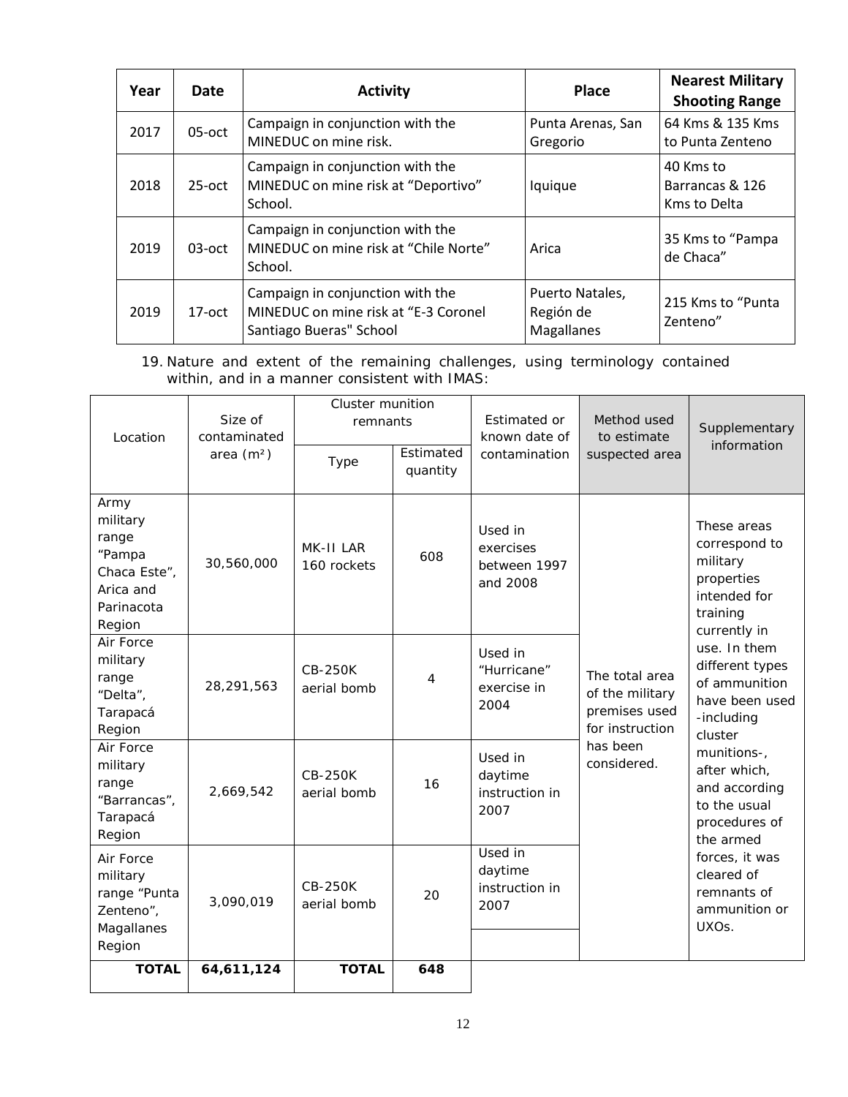| Year | Date      | <b>Place</b><br><b>Activity</b>                                                                     |                                            | <b>Nearest Military</b><br><b>Shooting Range</b> |
|------|-----------|-----------------------------------------------------------------------------------------------------|--------------------------------------------|--------------------------------------------------|
| 2017 | $05$ -oct | Campaign in conjunction with the<br>MINEDUC on mine risk.                                           | Punta Arenas, San<br>Gregorio              | 64 Kms & 135 Kms<br>to Punta Zenteno             |
| 2018 | $25$ -oct | Campaign in conjunction with the<br>MINEDUC on mine risk at "Deportivo"<br>School.                  | Iquique                                    | 40 Kms to<br>Barrancas & 126<br>Kms to Delta     |
| 2019 | $03$ -oct | Campaign in conjunction with the<br>MINEDUC on mine risk at "Chile Norte"<br>School.                | Arica                                      | 35 Kms to "Pampa<br>de Chaca"                    |
| 2019 | $17-oct$  | Campaign in conjunction with the<br>MINEDUC on mine risk at "E-3 Coronel<br>Santiago Bueras" School | Puerto Natales,<br>Región de<br>Magallanes | 215 Kms to "Punta"<br>Zenteno"                   |

19. Nature and extent of the remaining challenges, using terminology contained within, and in a manner consistent with IMAS:

| Location                                                                                 | Size of<br>contaminated<br>area $(m2)$ | <b>Cluster munition</b><br>remnants<br>Type | Estimated<br>quantity | Estimated or<br>known date of<br>contamination   | Method used<br>to estimate<br>suspected area                          | Supplementary<br>information                                                                                                                                                              |
|------------------------------------------------------------------------------------------|----------------------------------------|---------------------------------------------|-----------------------|--------------------------------------------------|-----------------------------------------------------------------------|-------------------------------------------------------------------------------------------------------------------------------------------------------------------------------------------|
| Army<br>military<br>range<br>"Pampa<br>Chaca Este",<br>Arica and<br>Parinacota<br>Region | 30,560,000                             | MK-II LAR<br>160 rockets                    | 608                   | Used in<br>exercises<br>between 1997<br>and 2008 |                                                                       | These areas<br>correspond to<br>military<br>properties<br>intended for<br>training<br>currently in                                                                                        |
| Air Force<br>military<br>range<br>"Delta",<br>Tarapacá<br>Region                         | 28,291,563                             | <b>CB-250K</b><br>aerial bomb               | 4                     | Used in<br>"Hurricane"<br>exercise in<br>2004    | The total area<br>of the military<br>premises used<br>for instruction | use. In them<br>different types<br>of ammunition<br>have been used<br>-including<br>cluster<br>munitions-,<br>after which,<br>and according<br>to the usual<br>procedures of<br>the armed |
| Air Force<br>military<br>range<br>"Barrancas",<br>Tarapacá<br>Region                     | 2,669,542                              | CB-250K<br>aerial bomb                      | 16                    | Used in<br>daytime<br>instruction in<br>2007     | has been<br>considered.                                               |                                                                                                                                                                                           |
| Air Force<br>military<br>range "Punta<br>Zenteno",<br>Magallanes<br>Region               | 3,090,019                              | <b>CB-250K</b><br>aerial bomb               | 20                    | Used in<br>daytime<br>instruction in<br>2007     |                                                                       | forces, it was<br>cleared of<br>remnants of<br>ammunition or<br>UXO <sub>S</sub> .                                                                                                        |
| <b>TOTAL</b>                                                                             | 64,611,124                             | <b>TOTAL</b>                                | 648                   |                                                  |                                                                       |                                                                                                                                                                                           |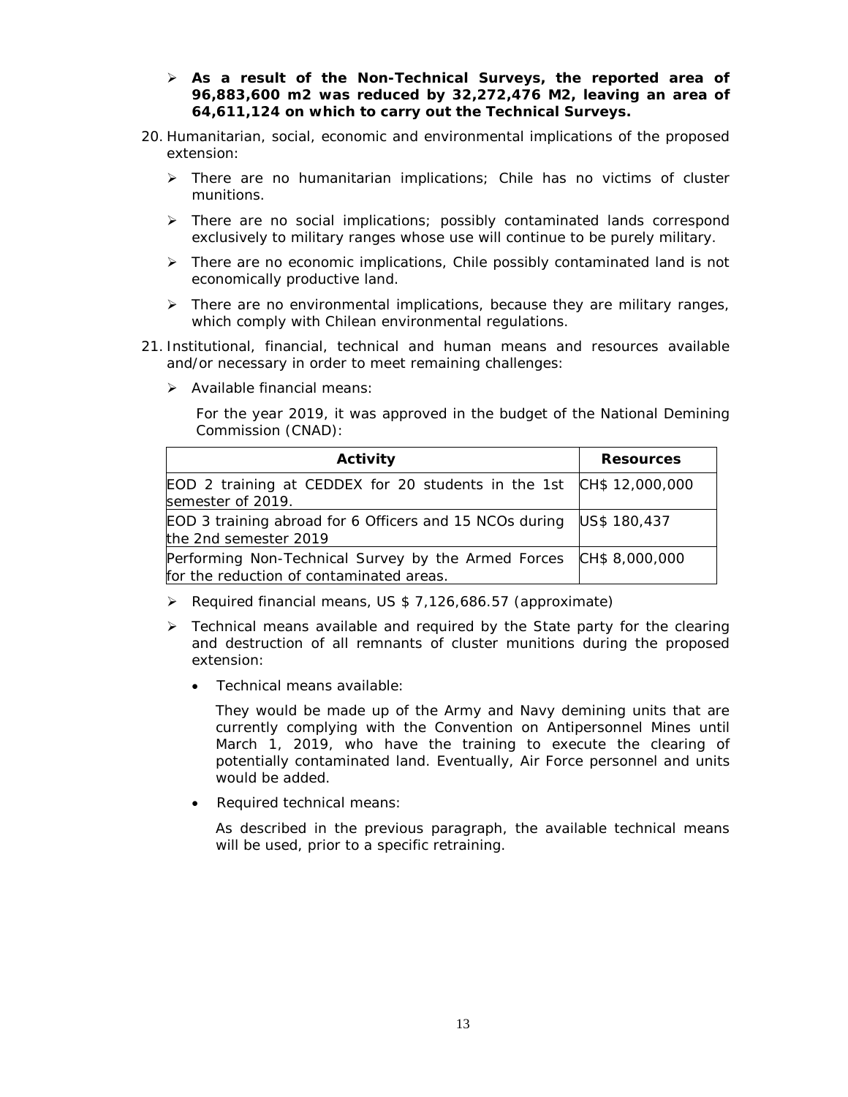- **As a result of the Non-Technical Surveys, the reported area of 96,883,600 m2 was reduced by 32,272,476 M2, leaving an area of 64,611,124 on which to carry out the Technical Surveys.**
- 20. Humanitarian, social, economic and environmental implications of the proposed extension:
	- $\triangleright$  There are no humanitarian implications; Chile has no victims of cluster munitions.
	- > There are no social implications; possibly contaminated lands correspond exclusively to military ranges whose use will continue to be purely military.
	- $\triangleright$  There are no economic implications, Chile possibly contaminated land is not economically productive land.
	- $\triangleright$  There are no environmental implications, because they are military ranges, which comply with Chilean environmental regulations.
- 21. Institutional, financial, technical and human means and resources available and/or necessary in order to meet remaining challenges:
	- $\triangleright$  Available financial means:

For the year 2019, it was approved in the budget of the National Demining Commission (CNAD):

| Activity                                                                                                       | <b>Resources</b> |  |
|----------------------------------------------------------------------------------------------------------------|------------------|--|
| EOD 2 training at CEDDEX for 20 students in the 1st CH\$ 12,000,000<br>semester of 2019.                       |                  |  |
| EOD 3 training abroad for 6 Officers and 15 NCOs during US\$ 180,437<br>the 2nd semester 2019                  |                  |  |
| Performing Non-Technical Survey by the Armed Forces CH\$ 8,000,000<br>for the reduction of contaminated areas. |                  |  |

- ▶ Required financial means, US \$ 7,126,686.57 (approximate)
- $\triangleright$  Technical means available and required by the State party for the clearing and destruction of all remnants of cluster munitions during the proposed extension:
	- Technical means available:

They would be made up of the Army and Navy demining units that are currently complying with the Convention on Antipersonnel Mines until March 1, 2019, who have the training to execute the clearing of potentially contaminated land. Eventually, Air Force personnel and units would be added.

• Required technical means:

As described in the previous paragraph, the available technical means will be used, prior to a specific retraining.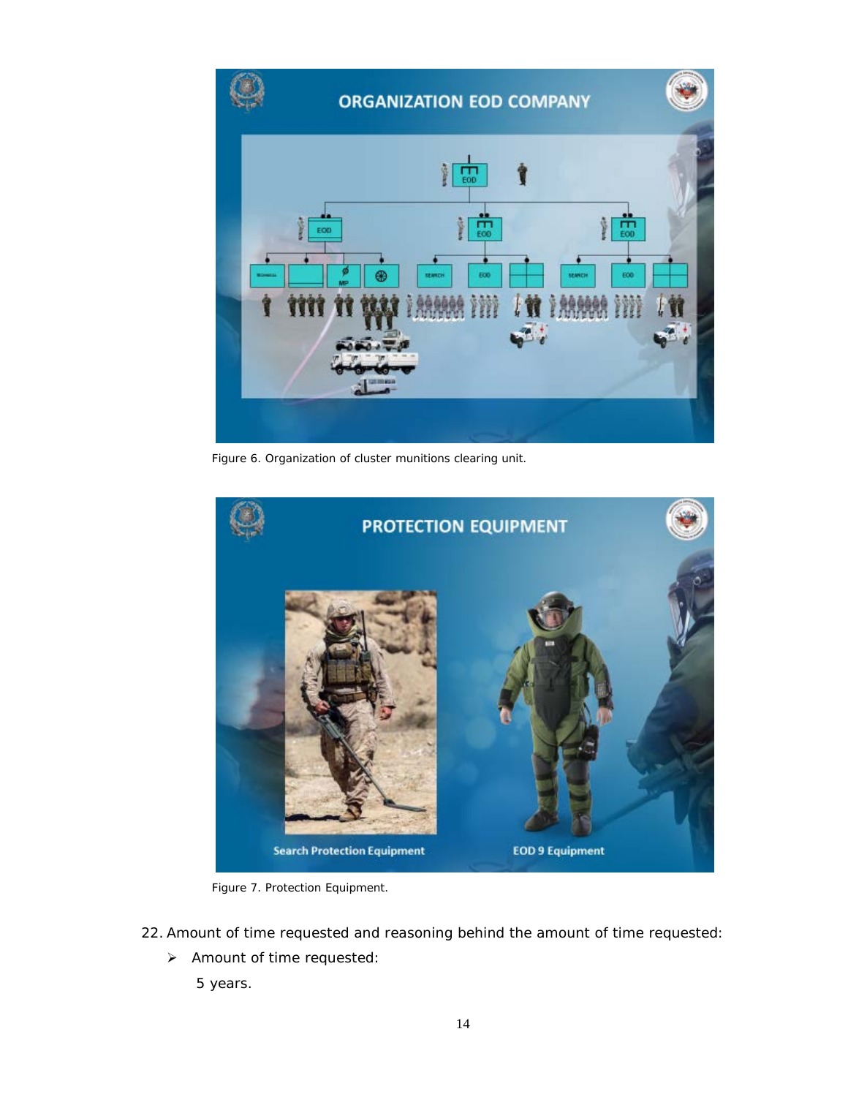

Figure 6. Organization of cluster munitions clearing unit.



Figure 7. Protection Equipment.

- 22. Amount of time requested and reasoning behind the amount of time requested:
	- > Amount of time requested:
		- 5 years.